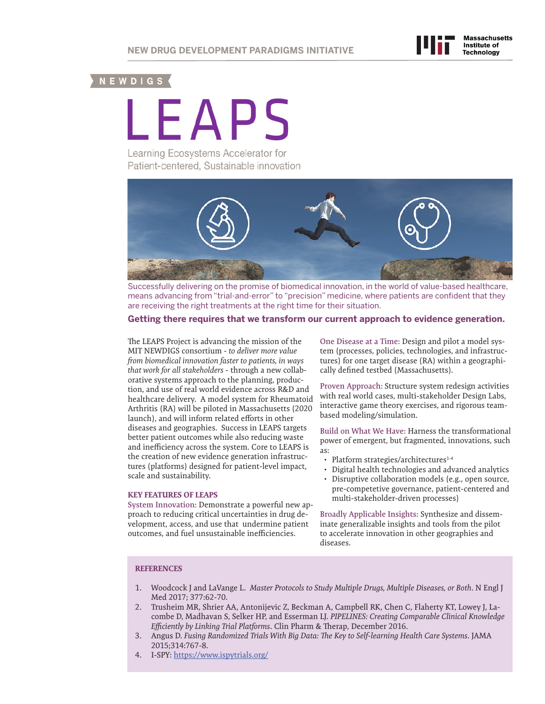# NEWDIGS (

LEAPS

Learning Ecosystems Accelerator for Patient-centered, Sustainable innovation



Successfully delivering on the promise of biomedical innovation, in the world of value-based healthcare, means advancing from "trial-and-error" to "precision" medicine, where patients are confident that they are receiving the right treatments at the right time for their situation.

### **Getting there requires that we transform our current approach to evidence generation.**

The LEAPS Project is advancing the mission of the MIT NEWDIGS consortium - *to deliver more value from biomedical innovation faster to patients, in ways that work for all stakeholders* - through a new collaborative systems approach to the planning, production, and use of real world evidence across R&D and healthcare delivery. A model system for Rheumatoid Arthritis (RA) will be piloted in Massachusetts (2020 launch), and will inform related efforts in other diseases and geographies. Success in LEAPS targets better patient outcomes while also reducing waste and inefficiency across the system. Core to LEAPS is the creation of new evidence generation infrastructures (platforms) designed for patient-level impact, scale and sustainability.

#### **KEY FEATURES OF LEAPS**

**System Innovation:** Demonstrate a powerful new approach to reducing critical uncertainties in drug development, access, and use that undermine patient outcomes, and fuel unsustainable inefficiencies.

**One Disease at a Time:** Design and pilot a model system (processes, policies, technologies, and infrastructures) for one target disease (RA) within a geographically defined testbed (Massachusetts).

**Proven Approach:** Structure system redesign activities with real world cases, multi-stakeholder Design Labs, interactive game theory exercises, and rigorous teambased modeling/simulation.

**Build on What We Have:** Harness the transformational power of emergent, but fragmented, innovations, such as:

- Platform strategies/architectures<sup>1-4</sup>
- Digital health technologies and advanced analytics
- Disruptive collaboration models (e.g., open source, pre-competetive governance, patient-centered and multi-stakeholder-driven processes)

**Broadly Applicable Insights:** Synthesize and disseminate generalizable insights and tools from the pilot to accelerate innovation in other geographies and diseases.

#### **REFERENCES**

- 1. Woodcock J and LaVange L. *Master Protocols to Study Multiple Drugs, Multiple Diseases, or Both*. N Engl J Med 2017; 377:62-70.
- 2. Trusheim MR, Shrier AA, Antonijevic Z, Beckman A, Campbell RK, Chen C, Flaherty KT, Lowey J, Lacombe D, Madhavan S, Selker HP, and Esserman LJ. *PIPELINES: Creating Comparable Clinical Knowledge Efficiently by Linking Trial Platforms*. Clin Pharm & Therap, December 2016.
- 3. Angus D. *Fusing Randomized Trials With Big Data: The Key to Self-learning Health Care Systems*. JAMA 2015;314:767-8.
- 4. I-SPY: [https://www.ispytrials.org/](http://www.ispytrials.org)